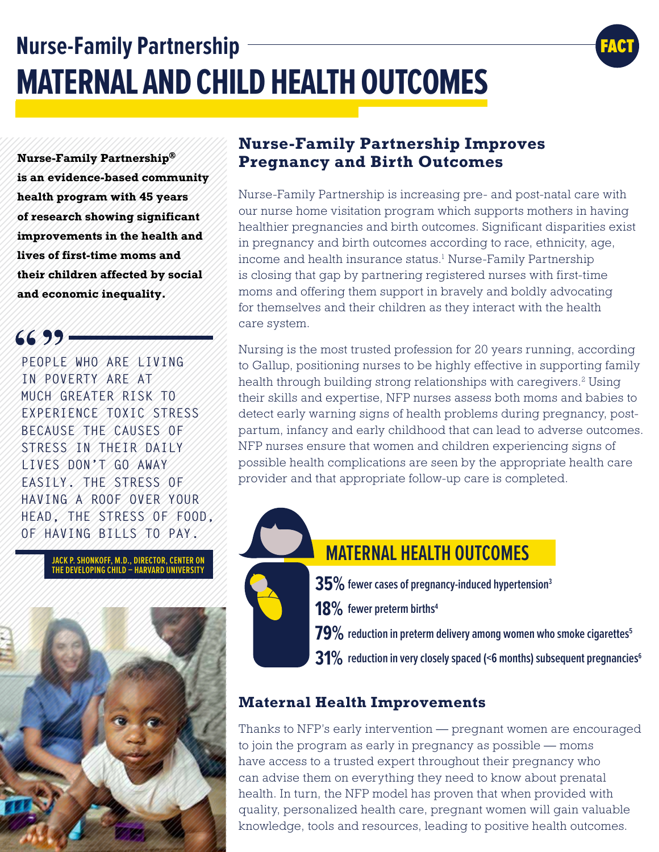# **Nurse-Family Partnership MATERNAL AND CHILD HEALTH OUTCOMES**

FACT

**Nurse-Family Partnership ® is an evidence-based community health program with 45 years of research showing significant improvements in the health and lives of first-time moms and their children affected by social and economic inequality.**

 $6699 -$ 

**PEOPLE WHO ARE LIVING IN POVERTY ARE AT MUCH GREATER RISK TO EXPERIENCE TOXIC STRESS BECAUSE THE CAUSES OF STRESS IN THEIR DAILY LIVES DON'T GO AWAY EASILY. THE STRESS OF HAVING A ROOF OVER YOUR HEAD, THE STRESS OF FOOD, OF HAVING BILLS TO PAY.** 

> **JACK P. SHONKOFF, M.D., DIRECTOR, CENTER ON THE DEVELOPING CHILD – HARVARD UNIVERSITY**



#### **Nurse-Family Partnership Improves Pregnancy and Birth Outcomes**

Nurse-Family Partnership is increasing pre- and post-natal care with our nurse home visitation program which supports mothers in having healthier pregnancies and birth outcomes. Significant disparities exist in pregnancy and birth outcomes according to race, ethnicity, age, income and health insurance status.<sup>1</sup> Nurse-Family Partnership is closing that gap by partnering registered nurses with first-time moms and offering them support in bravely and boldly advocating for themselves and their children as they interact with the health care system.

Nursing is the most trusted profession for 20 years running, according to Gallup, positioning nurses to be highly effective in supporting family health through building strong relationships with caregivers.<sup>2</sup> Using their skills and expertise, NFP nurses assess both moms and babies to detect early warning signs of health problems during pregnancy, postpartum, infancy and early childhood that can lead to adverse outcomes. NFP nurses ensure that women and children experiencing signs of possible health complications are seen by the appropriate health care provider and that appropriate follow-up care is completed.



## **MATERNAL HEALTH OUTCOMES**

- $\mathbf{35\%}$  fewer cases of pregnancy-induced hypertension<sup>3</sup>
- 18% fewer preterm births<sup>4</sup>
- $\mathbf{79\%}$  reduction in preterm delivery among women who smoke cigarettes<sup>5</sup>
- $31\%$  reduction in very closely spaced (<6 months) subsequent pregnancies<sup>6</sup>

#### **Maternal Health Improvements**

Thanks to NFP's early intervention — pregnant women are encouraged to join the program as early in pregnancy as possible — moms have access to a trusted expert throughout their pregnancy who can advise them on everything they need to know about prenatal health. In turn, the NFP model has proven that when provided with quality, personalized health care, pregnant women will gain valuable knowledge, tools and resources, leading to positive health outcomes.